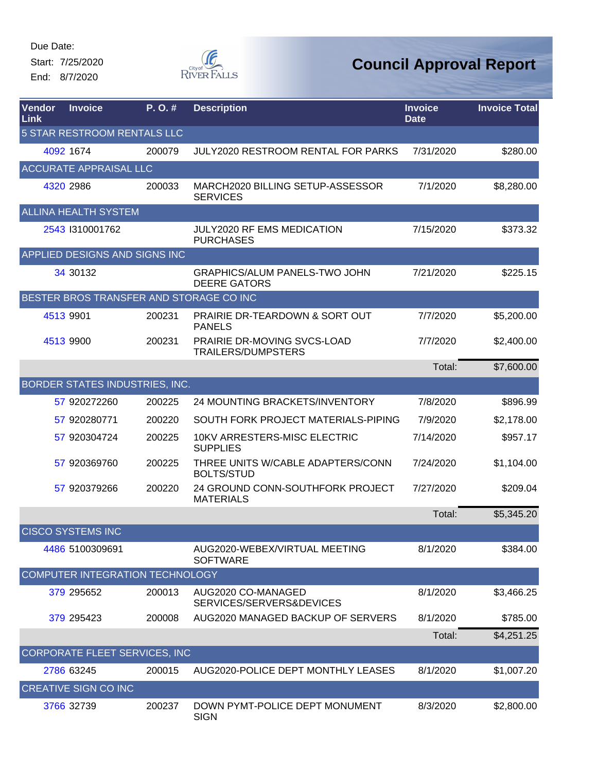Start: 7/25/2020 End: 8/7/2020



| <b>Vendor</b><br>Link       | <b>Invoice</b>                          | P.O.#  | <b>Description</b>                                          | <b>Invoice</b><br><b>Date</b> | <b>Invoice Total</b> |  |  |  |  |
|-----------------------------|-----------------------------------------|--------|-------------------------------------------------------------|-------------------------------|----------------------|--|--|--|--|
| 5 STAR RESTROOM RENTALS LLC |                                         |        |                                                             |                               |                      |  |  |  |  |
|                             | 4092 1674                               | 200079 | JULY2020 RESTROOM RENTAL FOR PARKS                          | 7/31/2020                     | \$280.00             |  |  |  |  |
|                             | <b>ACCURATE APPRAISAL LLC</b>           |        |                                                             |                               |                      |  |  |  |  |
|                             | 4320 2986                               | 200033 | MARCH2020 BILLING SETUP-ASSESSOR<br><b>SERVICES</b>         | 7/1/2020                      | \$8,280.00           |  |  |  |  |
|                             | <b>ALLINA HEALTH SYSTEM</b>             |        |                                                             |                               |                      |  |  |  |  |
|                             | 2543 1310001762                         |        | JULY2020 RF EMS MEDICATION<br><b>PURCHASES</b>              | 7/15/2020                     | \$373.32             |  |  |  |  |
|                             | APPLIED DESIGNS AND SIGNS INC           |        |                                                             |                               |                      |  |  |  |  |
|                             | 34 30132                                |        | <b>GRAPHICS/ALUM PANELS-TWO JOHN</b><br><b>DEERE GATORS</b> | 7/21/2020                     | \$225.15             |  |  |  |  |
|                             | BESTER BROS TRANSFER AND STORAGE CO INC |        |                                                             |                               |                      |  |  |  |  |
|                             | 4513 9901                               | 200231 | <b>PRAIRIE DR-TEARDOWN &amp; SORT OUT</b><br><b>PANELS</b>  | 7/7/2020                      | \$5,200.00           |  |  |  |  |
|                             | 4513 9900                               | 200231 | PRAIRIE DR-MOVING SVCS-LOAD<br><b>TRAILERS/DUMPSTERS</b>    | 7/7/2020                      | \$2,400.00           |  |  |  |  |
|                             |                                         |        |                                                             | Total:                        | \$7,600.00           |  |  |  |  |
|                             | BORDER STATES INDUSTRIES, INC.          |        |                                                             |                               |                      |  |  |  |  |
|                             | 57 920272260                            | 200225 | 24 MOUNTING BRACKETS/INVENTORY                              | 7/8/2020                      | \$896.99             |  |  |  |  |
|                             | 57 920280771                            | 200220 | SOUTH FORK PROJECT MATERIALS-PIPING                         | 7/9/2020                      | \$2,178.00           |  |  |  |  |
|                             | 57 920304724                            | 200225 | 10KV ARRESTERS-MISC ELECTRIC<br><b>SUPPLIES</b>             | 7/14/2020                     | \$957.17             |  |  |  |  |
|                             | 57 920369760                            | 200225 | THREE UNITS W/CABLE ADAPTERS/CONN<br><b>BOLTS/STUD</b>      | 7/24/2020                     | \$1,104.00           |  |  |  |  |
|                             | 57 920379266                            | 200220 | 24 GROUND CONN-SOUTHFORK PROJECT<br><b>MATERIALS</b>        | 7/27/2020                     | \$209.04             |  |  |  |  |
|                             |                                         |        |                                                             | Total:                        | \$5,345.20           |  |  |  |  |
|                             | <b>CISCO SYSTEMS INC</b>                |        |                                                             |                               |                      |  |  |  |  |
|                             | 4486 5100309691                         |        | AUG2020-WEBEX/VIRTUAL MEETING<br><b>SOFTWARE</b>            | 8/1/2020                      | \$384.00             |  |  |  |  |
|                             | COMPUTER INTEGRATION TECHNOLOGY         |        |                                                             |                               |                      |  |  |  |  |
|                             | 379 295652                              | 200013 | AUG2020 CO-MANAGED<br>SERVICES/SERVERS&DEVICES              | 8/1/2020                      | \$3,466.25           |  |  |  |  |
|                             | 379 295423                              | 200008 | AUG2020 MANAGED BACKUP OF SERVERS                           | 8/1/2020                      | \$785.00             |  |  |  |  |
|                             |                                         |        |                                                             | Total:                        | \$4,251.25           |  |  |  |  |
|                             | CORPORATE FLEET SERVICES, INC           |        |                                                             |                               |                      |  |  |  |  |
|                             | 2786 63245                              | 200015 | AUG2020-POLICE DEPT MONTHLY LEASES                          | 8/1/2020                      | \$1,007.20           |  |  |  |  |
|                             | <b>CREATIVE SIGN CO INC</b>             |        |                                                             |                               |                      |  |  |  |  |
|                             | 3766 32739                              | 200237 | DOWN PYMT-POLICE DEPT MONUMENT<br><b>SIGN</b>               | 8/3/2020                      | \$2,800.00           |  |  |  |  |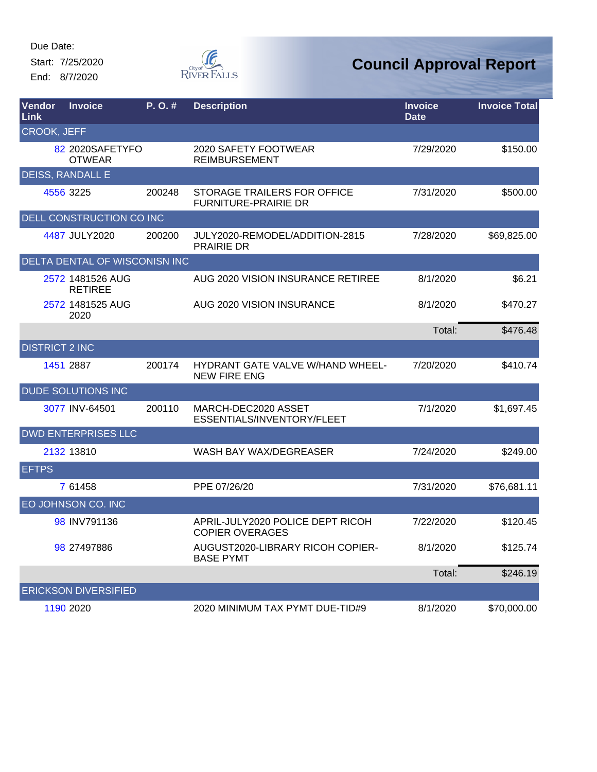Start: 7/25/2020 End: 8/7/2020



| Vendor<br><b>Link</b> | <b>Invoice</b>                       | P. O. # | <b>Description</b>                                                | <b>Invoice</b><br><b>Date</b> | <b>Invoice Total</b> |  |  |  |
|-----------------------|--------------------------------------|---------|-------------------------------------------------------------------|-------------------------------|----------------------|--|--|--|
| <b>CROOK, JEFF</b>    |                                      |         |                                                                   |                               |                      |  |  |  |
|                       | 82 2020SAFETYFO<br><b>OTWEAR</b>     |         | 2020 SAFETY FOOTWEAR<br><b>REIMBURSEMENT</b>                      | 7/29/2020                     | \$150.00             |  |  |  |
|                       | <b>DEISS, RANDALL E</b>              |         |                                                                   |                               |                      |  |  |  |
|                       | 4556 3225                            | 200248  | <b>STORAGE TRAILERS FOR OFFICE</b><br><b>FURNITURE-PRAIRIE DR</b> | 7/31/2020                     | \$500.00             |  |  |  |
|                       | DELL CONSTRUCTION CO INC             |         |                                                                   |                               |                      |  |  |  |
|                       | 4487 JULY2020                        | 200200  | JULY2020-REMODEL/ADDITION-2815<br><b>PRAIRIE DR</b>               | 7/28/2020                     | \$69,825.00          |  |  |  |
|                       | <b>DELTA DENTAL OF WISCONISN INC</b> |         |                                                                   |                               |                      |  |  |  |
|                       | 2572 1481526 AUG<br><b>RETIREE</b>   |         | AUG 2020 VISION INSURANCE RETIREE                                 | 8/1/2020                      | \$6.21               |  |  |  |
|                       | 2572 1481525 AUG<br>2020             |         | AUG 2020 VISION INSURANCE                                         | 8/1/2020                      | \$470.27             |  |  |  |
|                       |                                      |         |                                                                   | Total:                        | \$476.48             |  |  |  |
| <b>DISTRICT 2 INC</b> |                                      |         |                                                                   |                               |                      |  |  |  |
|                       | 1451 2887                            | 200174  | HYDRANT GATE VALVE W/HAND WHEEL-<br><b>NEW FIRE ENG</b>           | 7/20/2020                     | \$410.74             |  |  |  |
|                       | <b>DUDE SOLUTIONS INC</b>            |         |                                                                   |                               |                      |  |  |  |
|                       | 3077 INV-64501                       | 200110  | MARCH-DEC2020 ASSET<br>ESSENTIALS/INVENTORY/FLEET                 | 7/1/2020                      | \$1,697.45           |  |  |  |
|                       | <b>DWD ENTERPRISES LLC</b>           |         |                                                                   |                               |                      |  |  |  |
|                       | 2132 13810                           |         | WASH BAY WAX/DEGREASER                                            | 7/24/2020                     | \$249.00             |  |  |  |
| <b>EFTPS</b>          |                                      |         |                                                                   |                               |                      |  |  |  |
|                       | 7 61458                              |         | PPE 07/26/20                                                      | 7/31/2020                     | \$76,681.11          |  |  |  |
|                       | EO JOHNSON CO. INC                   |         |                                                                   |                               |                      |  |  |  |
|                       | 98 INV791136                         |         | APRIL-JULY2020 POLICE DEPT RICOH<br><b>COPIER OVERAGES</b>        | 7/22/2020                     | \$120.45             |  |  |  |
|                       | 98 27497886                          |         | AUGUST2020-LIBRARY RICOH COPIER-<br><b>BASE PYMT</b>              | 8/1/2020                      | \$125.74             |  |  |  |
|                       |                                      |         |                                                                   | Total:                        | \$246.19             |  |  |  |
|                       | <b>ERICKSON DIVERSIFIED</b>          |         |                                                                   |                               |                      |  |  |  |
|                       | 1190 2020                            |         | 2020 MINIMUM TAX PYMT DUE-TID#9                                   | 8/1/2020                      | \$70,000.00          |  |  |  |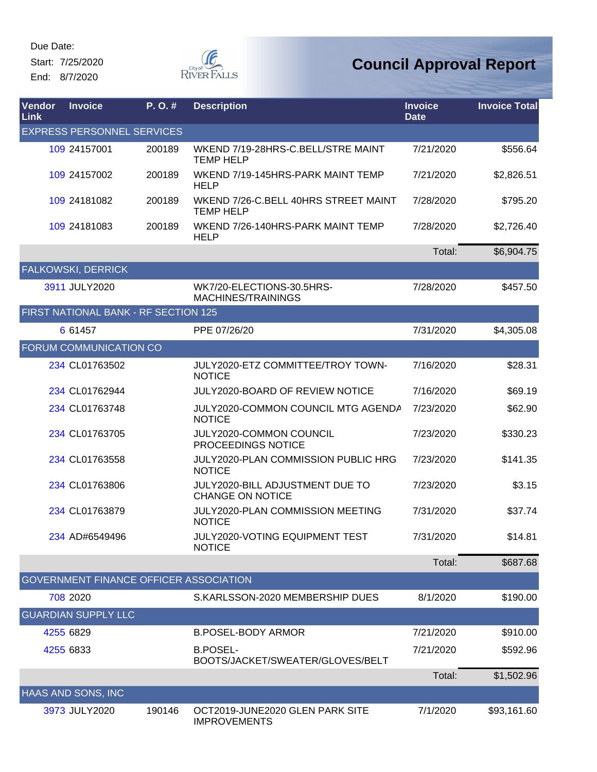Start: 7/25/2020 End: 8/7/2020



| <b>Vendor</b><br>Link | <b>Invoice</b>                       | $P. O.$ # | <b>Description</b>                                         | <b>Invoice</b><br><b>Date</b> | <b>Invoice Total</b> |
|-----------------------|--------------------------------------|-----------|------------------------------------------------------------|-------------------------------|----------------------|
|                       | <b>EXPRESS PERSONNEL SERVICES</b>    |           |                                                            |                               |                      |
|                       | 109 24157001                         | 200189    | WKEND 7/19-28HRS-C.BELL/STRE MAINT<br><b>TEMP HELP</b>     | 7/21/2020                     | \$556.64             |
|                       | 109 24157002                         | 200189    | WKEND 7/19-145HRS-PARK MAINT TEMP<br><b>HELP</b>           | 7/21/2020                     | \$2,826.51           |
|                       | 109 24181082                         | 200189    | WKEND 7/26-C.BELL 40HRS STREET MAINT<br><b>TEMP HELP</b>   | 7/28/2020                     | \$795.20             |
|                       | 109 24181083                         | 200189    | WKEND 7/26-140HRS-PARK MAINT TEMP<br><b>HELP</b>           | 7/28/2020                     | \$2,726.40           |
|                       |                                      |           |                                                            | Total:                        | \$6,904.75           |
|                       | FALKOWSKI, DERRICK                   |           |                                                            |                               |                      |
|                       | 3911 JULY2020                        |           | WK7/20-ELECTIONS-30.5HRS-<br>MACHINES/TRAININGS            | 7/28/2020                     | \$457.50             |
|                       | FIRST NATIONAL BANK - RF SECTION 125 |           |                                                            |                               |                      |
|                       | 6 61457                              |           | PPE 07/26/20                                               | 7/31/2020                     | \$4,305.08           |
|                       | FORUM COMMUNICATION CO               |           |                                                            |                               |                      |
|                       | 234 CL01763502                       |           | JULY2020-ETZ COMMITTEE/TROY TOWN-<br><b>NOTICE</b>         | 7/16/2020                     | \$28.31              |
|                       | 234 CL01762944                       |           | <b>JULY2020-BOARD OF REVIEW NOTICE</b>                     | 7/16/2020                     | \$69.19              |
|                       | 234 CL01763748                       |           | JULY2020-COMMON COUNCIL MTG AGENDA<br><b>NOTICE</b>        | 7/23/2020                     | \$62.90              |
|                       | 234 CL01763705                       |           | JULY2020-COMMON COUNCIL<br>PROCEEDINGS NOTICE              | 7/23/2020                     | \$330.23             |
|                       | 234 CL01763558                       |           | JULY2020-PLAN COMMISSION PUBLIC HRG<br><b>NOTICE</b>       | 7/23/2020                     | \$141.35             |
|                       | 234 CL01763806                       |           | JULY2020-BILL ADJUSTMENT DUE TO<br><b>CHANGE ON NOTICE</b> | 7/23/2020                     | \$3.15               |
|                       | 234 CL01763879                       |           | JULY2020-PLAN COMMISSION MEETING<br><b>NOTICE</b>          | 7/31/2020                     | \$37.74              |
|                       | 234 AD#6549496                       |           | JULY2020-VOTING EQUIPMENT TEST<br><b>NOTICE</b>            | 7/31/2020                     | \$14.81              |
|                       |                                      |           |                                                            | Total:                        | \$687.68             |
|                       |                                      |           | GOVERNMENT FINANCE OFFICER ASSOCIATION                     |                               |                      |
|                       | 708 2020                             |           | S.KARLSSON-2020 MEMBERSHIP DUES                            | 8/1/2020                      | \$190.00             |
|                       | <b>GUARDIAN SUPPLY LLC</b>           |           |                                                            |                               |                      |
|                       | 4255 6829                            |           | <b>B.POSEL-BODY ARMOR</b>                                  | 7/21/2020                     | \$910.00             |
|                       | 4255 6833                            |           | <b>B.POSEL-</b><br>BOOTS/JACKET/SWEATER/GLOVES/BELT        | 7/21/2020                     | \$592.96             |
|                       |                                      |           |                                                            | Total:                        | \$1,502.96           |
|                       | HAAS AND SONS, INC                   |           |                                                            |                               |                      |
|                       | 3973 JULY2020                        | 190146    | OCT2019-JUNE2020 GLEN PARK SITE<br><b>IMPROVEMENTS</b>     | 7/1/2020                      | \$93,161.60          |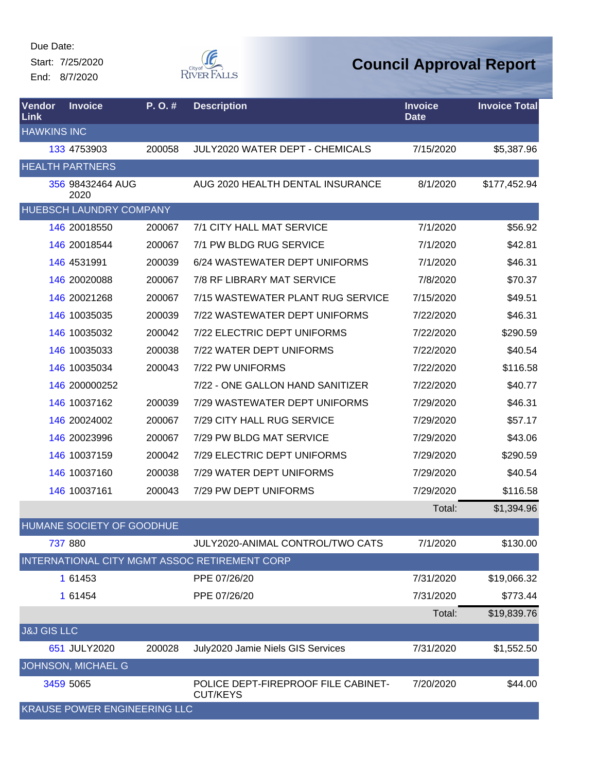Start: 7/25/2020 End: 8/7/2020



| <b>Vendor</b><br>Link  | <b>Invoice</b>                      | P.O.#  | <b>Description</b>                                     | <b>Invoice</b><br><b>Date</b> | <b>Invoice Total</b> |
|------------------------|-------------------------------------|--------|--------------------------------------------------------|-------------------------------|----------------------|
| <b>HAWKINS INC</b>     |                                     |        |                                                        |                               |                      |
|                        | 133 4753903                         | 200058 | <b>JULY2020 WATER DEPT - CHEMICALS</b>                 | 7/15/2020                     | \$5,387.96           |
|                        | <b>HEALTH PARTNERS</b>              |        |                                                        |                               |                      |
|                        | 356 98432464 AUG<br>2020            |        | AUG 2020 HEALTH DENTAL INSURANCE                       | 8/1/2020                      | \$177,452.94         |
|                        | <b>HUEBSCH LAUNDRY COMPANY</b>      |        |                                                        |                               |                      |
|                        | 146 20018550                        | 200067 | 7/1 CITY HALL MAT SERVICE                              | 7/1/2020                      | \$56.92              |
|                        | 146 20018544                        | 200067 | 7/1 PW BLDG RUG SERVICE                                | 7/1/2020                      | \$42.81              |
|                        | 146 4531991                         | 200039 | 6/24 WASTEWATER DEPT UNIFORMS                          | 7/1/2020                      | \$46.31              |
|                        | 146 20020088                        | 200067 | 7/8 RF LIBRARY MAT SERVICE                             | 7/8/2020                      | \$70.37              |
|                        | 146 20021268                        | 200067 | 7/15 WASTEWATER PLANT RUG SERVICE                      | 7/15/2020                     | \$49.51              |
|                        | 146 10035035                        | 200039 | 7/22 WASTEWATER DEPT UNIFORMS                          | 7/22/2020                     | \$46.31              |
|                        | 146 10035032                        | 200042 | 7/22 ELECTRIC DEPT UNIFORMS                            | 7/22/2020                     | \$290.59             |
|                        | 146 10035033                        | 200038 | 7/22 WATER DEPT UNIFORMS                               | 7/22/2020                     | \$40.54              |
|                        | 146 10035034                        | 200043 | 7/22 PW UNIFORMS                                       | 7/22/2020                     | \$116.58             |
|                        | 146 200000252                       |        | 7/22 - ONE GALLON HAND SANITIZER                       | 7/22/2020                     | \$40.77              |
|                        | 146 10037162                        | 200039 | 7/29 WASTEWATER DEPT UNIFORMS                          | 7/29/2020                     | \$46.31              |
|                        | 146 20024002                        | 200067 | 7/29 CITY HALL RUG SERVICE                             | 7/29/2020                     | \$57.17              |
|                        | 146 20023996                        | 200067 | 7/29 PW BLDG MAT SERVICE                               | 7/29/2020                     | \$43.06              |
|                        | 146 10037159                        | 200042 | 7/29 ELECTRIC DEPT UNIFORMS                            | 7/29/2020                     | \$290.59             |
|                        | 146 10037160                        | 200038 | 7/29 WATER DEPT UNIFORMS                               | 7/29/2020                     | \$40.54              |
|                        | 146 10037161                        | 200043 | 7/29 PW DEPT UNIFORMS                                  | 7/29/2020                     | \$116.58             |
|                        |                                     |        |                                                        | Total:                        | \$1,394.96           |
|                        | <b>HUMANE SOCIETY OF GOODHUE</b>    |        |                                                        |                               |                      |
|                        | 737 880                             |        | <b>JULY2020-ANIMAL CONTROL/TWO CATS</b>                | 7/1/2020                      | \$130.00             |
|                        |                                     |        | INTERNATIONAL CITY MGMT ASSOC RETIREMENT CORP          |                               |                      |
|                        | 1 61453                             |        | PPE 07/26/20                                           | 7/31/2020                     | \$19,066.32          |
|                        | 1 61454                             |        | PPE 07/26/20                                           | 7/31/2020                     | \$773.44             |
|                        |                                     |        |                                                        | Total:                        | \$19,839.76          |
| <b>J&amp;J GIS LLC</b> |                                     |        |                                                        |                               |                      |
|                        | 651 JULY2020                        | 200028 | July2020 Jamie Niels GIS Services                      | 7/31/2020                     | \$1,552.50           |
|                        | JOHNSON, MICHAEL G                  |        |                                                        |                               |                      |
|                        | 3459 5065                           |        | POLICE DEPT-FIREPROOF FILE CABINET-<br><b>CUT/KEYS</b> | 7/20/2020                     | \$44.00              |
|                        | <b>KRAUSE POWER ENGINEERING LLC</b> |        |                                                        |                               |                      |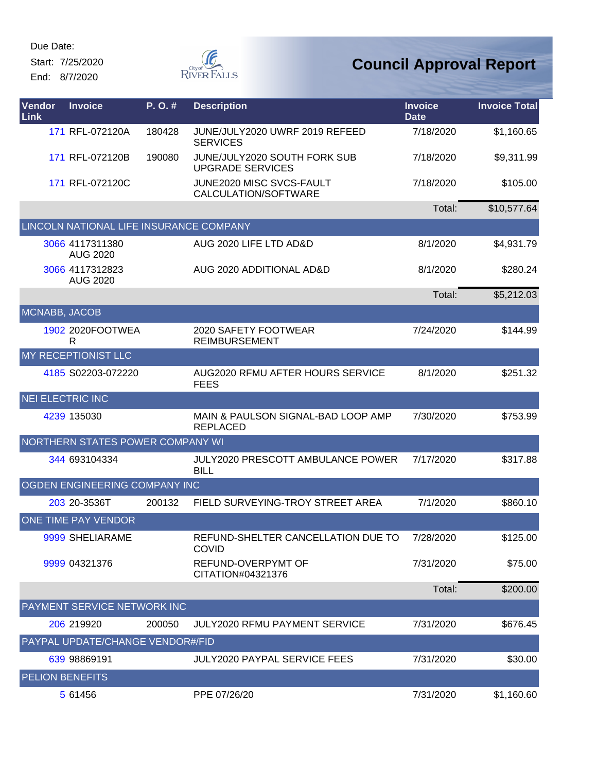Start: 7/25/2020 End: 8/7/2020



| Vendor<br>Link          | <b>Invoice</b>                          | P. O. # | <b>Description</b>                                               | <b>Invoice</b><br><b>Date</b> | <b>Invoice Total</b> |
|-------------------------|-----------------------------------------|---------|------------------------------------------------------------------|-------------------------------|----------------------|
|                         | 171 RFL-072120A                         | 180428  | JUNE/JULY2020 UWRF 2019 REFEED<br><b>SERVICES</b>                | 7/18/2020                     | \$1,160.65           |
|                         | 171 RFL-072120B                         | 190080  | JUNE/JULY2020 SOUTH FORK SUB<br><b>UPGRADE SERVICES</b>          | 7/18/2020                     | \$9,311.99           |
|                         | 171 RFL-072120C                         |         | JUNE2020 MISC SVCS-FAULT<br>CALCULATION/SOFTWARE                 | 7/18/2020                     | \$105.00             |
|                         |                                         |         |                                                                  | Total:                        | \$10,577.64          |
|                         | LINCOLN NATIONAL LIFE INSURANCE COMPANY |         |                                                                  |                               |                      |
|                         | 3066 4117311380<br><b>AUG 2020</b>      |         | AUG 2020 LIFE LTD AD&D                                           | 8/1/2020                      | \$4,931.79           |
|                         | 3066 4117312823<br><b>AUG 2020</b>      |         | AUG 2020 ADDITIONAL AD&D                                         | 8/1/2020                      | \$280.24             |
|                         |                                         |         |                                                                  | Total:                        | \$5,212.03           |
| MCNABB, JACOB           |                                         |         |                                                                  |                               |                      |
|                         | 1902 2020FOOTWEA<br>R                   |         | 2020 SAFETY FOOTWEAR<br><b>REIMBURSEMENT</b>                     | 7/24/2020                     | \$144.99             |
|                         | <b>MY RECEPTIONIST LLC</b>              |         |                                                                  |                               |                      |
|                         | 4185 S02203-072220                      |         | AUG2020 RFMU AFTER HOURS SERVICE<br><b>FEES</b>                  | 8/1/2020                      | \$251.32             |
| <b>NEI ELECTRIC INC</b> |                                         |         |                                                                  |                               |                      |
|                         | 4239 135030                             |         | <b>MAIN &amp; PAULSON SIGNAL-BAD LOOP AMP</b><br><b>REPLACED</b> | 7/30/2020                     | \$753.99             |
|                         | NORTHERN STATES POWER COMPANY WI        |         |                                                                  |                               |                      |
|                         | 344 693104334                           |         | <b>JULY2020 PRESCOTT AMBULANCE POWER</b><br><b>BILL</b>          | 7/17/2020                     | \$317.88             |
|                         | OGDEN ENGINEERING COMPANY INC           |         |                                                                  |                               |                      |
|                         | 203 20-3536T                            | 200132  | FIELD SURVEYING-TROY STREET AREA                                 | 7/1/2020                      | \$860.10             |
|                         | ONE TIME PAY VENDOR                     |         |                                                                  |                               |                      |
|                         | 9999 SHELIARAME                         |         | REFUND-SHELTER CANCELLATION DUE TO<br><b>COVID</b>               | 7/28/2020                     | \$125.00             |
|                         | 9999 04321376                           |         | REFUND-OVERPYMT OF<br>CITATION#04321376                          | 7/31/2020                     | \$75.00              |
|                         |                                         |         |                                                                  | Total:                        | \$200.00             |
|                         | PAYMENT SERVICE NETWORK INC             |         |                                                                  |                               |                      |
|                         | 206 219920                              | 200050  | <b>JULY2020 RFMU PAYMENT SERVICE</b>                             | 7/31/2020                     | \$676.45             |
|                         | PAYPAL UPDATE/CHANGE VENDOR#/FID        |         |                                                                  |                               |                      |
|                         | 639 98869191                            |         | <b>JULY2020 PAYPAL SERVICE FEES</b>                              | 7/31/2020                     | \$30.00              |
| <b>PELION BENEFITS</b>  |                                         |         |                                                                  |                               |                      |
|                         | 5 61456                                 |         | PPE 07/26/20                                                     | 7/31/2020                     | \$1,160.60           |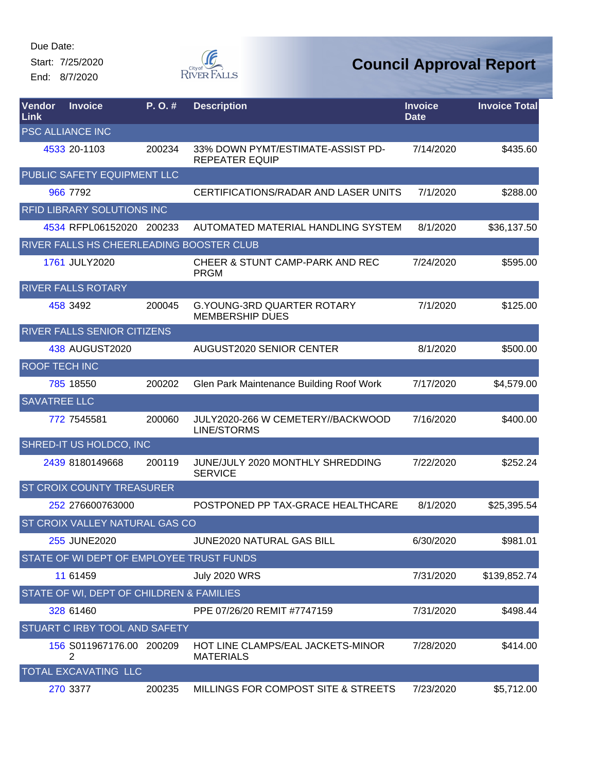Start: 7/25/2020 End: 8/7/2020



| Vendor<br>Link       | <b>Invoice</b>                           | P. O. # | <b>Description</b>                                          | <b>Invoice</b><br><b>Date</b> | <b>Invoice Total</b> |
|----------------------|------------------------------------------|---------|-------------------------------------------------------------|-------------------------------|----------------------|
|                      | <b>PSC ALLIANCE INC</b>                  |         |                                                             |                               |                      |
|                      | 4533 20-1103                             | 200234  | 33% DOWN PYMT/ESTIMATE-ASSIST PD-<br><b>REPEATER EQUIP</b>  | 7/14/2020                     | \$435.60             |
|                      | PUBLIC SAFETY EQUIPMENT LLC              |         |                                                             |                               |                      |
|                      | 966 7792                                 |         | CERTIFICATIONS/RADAR AND LASER UNITS                        | 7/1/2020                      | \$288.00             |
|                      | RFID LIBRARY SOLUTIONS INC               |         |                                                             |                               |                      |
|                      | 4534 RFPL06152020 200233                 |         | AUTOMATED MATERIAL HANDLING SYSTEM                          | 8/1/2020                      | \$36,137.50          |
|                      | RIVER FALLS HS CHEERLEADING BOOSTER CLUB |         |                                                             |                               |                      |
|                      | 1761 JULY2020                            |         | <b>CHEER &amp; STUNT CAMP-PARK AND REC</b><br><b>PRGM</b>   | 7/24/2020                     | \$595.00             |
|                      | RIVER FALLS ROTARY                       |         |                                                             |                               |                      |
|                      | 458 3492                                 | 200045  | <b>G.YOUNG-3RD QUARTER ROTARY</b><br><b>MEMBERSHIP DUES</b> | 7/1/2020                      | \$125.00             |
|                      | RIVER FALLS SENIOR CITIZENS              |         |                                                             |                               |                      |
|                      | 438 AUGUST2020                           |         | AUGUST2020 SENIOR CENTER                                    | 8/1/2020                      | \$500.00             |
| <b>ROOF TECH INC</b> |                                          |         |                                                             |                               |                      |
|                      | 785 18550                                | 200202  | Glen Park Maintenance Building Roof Work                    | 7/17/2020                     | \$4,579.00           |
| <b>SAVATREE LLC</b>  |                                          |         |                                                             |                               |                      |
|                      | 772 7545581                              | 200060  | JULY2020-266 W CEMETERY//BACKWOOD<br>LINE/STORMS            | 7/16/2020                     | \$400.00             |
|                      | SHRED-IT US HOLDCO, INC                  |         |                                                             |                               |                      |
|                      | 2439 8180149668                          | 200119  | JUNE/JULY 2020 MONTHLY SHREDDING<br><b>SERVICE</b>          | 7/22/2020                     | \$252.24             |
|                      | ST CROIX COUNTY TREASURER                |         |                                                             |                               |                      |
|                      | 252 276600763000                         |         | POSTPONED PP TAX-GRACE HEALTHCARE                           | 8/1/2020                      | \$25,395.54          |
|                      | ST CROIX VALLEY NATURAL GAS CO           |         |                                                             |                               |                      |
|                      | 255 JUNE2020                             |         | <b>JUNE2020 NATURAL GAS BILL</b>                            | 6/30/2020                     | \$981.01             |
|                      | STATE OF WI DEPT OF EMPLOYEE TRUST FUNDS |         |                                                             |                               |                      |
|                      | 11 61459                                 |         | <b>July 2020 WRS</b>                                        | 7/31/2020                     | \$139,852.74         |
|                      | STATE OF WI, DEPT OF CHILDREN & FAMILIES |         |                                                             |                               |                      |
|                      | 328 61460                                |         | PPE 07/26/20 REMIT #7747159                                 | 7/31/2020                     | \$498.44             |
|                      | STUART C IRBY TOOL AND SAFETY            |         |                                                             |                               |                      |
|                      | 156 S011967176.00 200209<br>2            |         | HOT LINE CLAMPS/EAL JACKETS-MINOR<br><b>MATERIALS</b>       | 7/28/2020                     | \$414.00             |
|                      | TOTAL EXCAVATING LLC                     |         |                                                             |                               |                      |
|                      | 270 3377                                 | 200235  | MILLINGS FOR COMPOST SITE & STREETS                         | 7/23/2020                     | \$5,712.00           |